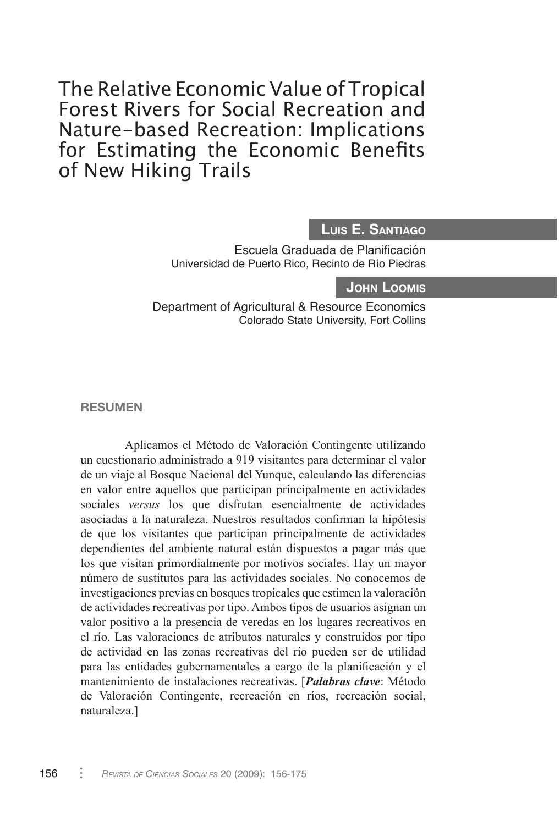The Relative Economic Value of Tropical Forest Rivers for Social Recreation and Nature-based Recreation: Implications for Estimating the Economic Benefits of New Hiking Trails

# **Luis E. Santiago**

Escuela Graduada de Planificación Universidad de Puerto Rico, Recinto de Río Piedras

## **John Loomis**

Department of Agricultural & Resource Economics Colorado State University, Fort Collins

**RESUMEN**

Aplicamos el Método de Valoración Contingente utilizando un cuestionario administrado a 919 visitantes para determinar el valor de un viaje al Bosque Nacional del Yunque, calculando las diferencias en valor entre aquellos que participan principalmente en actividades sociales *versus* los que disfrutan esencialmente de actividades asociadas a la naturaleza. Nuestros resultados confirman la hipótesis de que los visitantes que participan principalmente de actividades dependientes del ambiente natural están dispuestos a pagar más que los que visitan primordialmente por motivos sociales. Hay un mayor número de sustitutos para las actividades sociales. No conocemos de investigaciones previas en bosques tropicales que estimen la valoración de actividades recreativas por tipo. Ambos tipos de usuarios asignan un valor positivo a la presencia de veredas en los lugares recreativos en el río. Las valoraciones de atributos naturales y construidos por tipo de actividad en las zonas recreativas del río pueden ser de utilidad para las entidades gubernamentales a cargo de la planificación y el mantenimiento de instalaciones recreativas. [*Palabras clave*: Método de Valoración Contingente, recreación en ríos, recreación social, naturaleza.]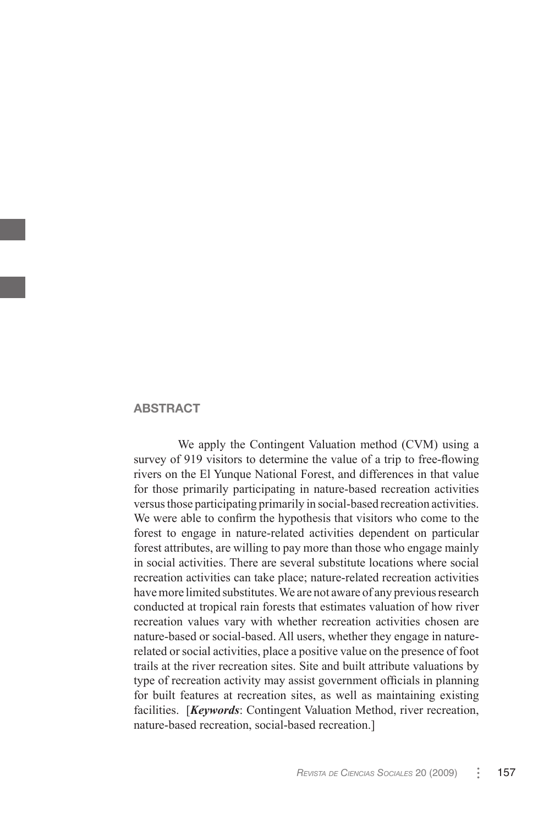#### **ABSTRACT**

We apply the Contingent Valuation method (CVM) using a survey of 919 visitors to determine the value of a trip to free-flowing rivers on the El Yunque National Forest, and differences in that value for those primarily participating in nature-based recreation activities versus those participating primarily in social-based recreation activities. We were able to confirm the hypothesis that visitors who come to the forest to engage in nature-related activities dependent on particular forest attributes, are willing to pay more than those who engage mainly in social activities. There are several substitute locations where social recreation activities can take place; nature-related recreation activities have more limited substitutes. We are not aware of any previous research conducted at tropical rain forests that estimates valuation of how river recreation values vary with whether recreation activities chosen are nature-based or social-based. All users, whether they engage in naturerelated or social activities, place a positive value on the presence of foot trails at the river recreation sites. Site and built attribute valuations by type of recreation activity may assist government officials in planning for built features at recreation sites, as well as maintaining existing facilities. [*Keywords*: Contingent Valuation Method, river recreation, nature-based recreation, social-based recreation.]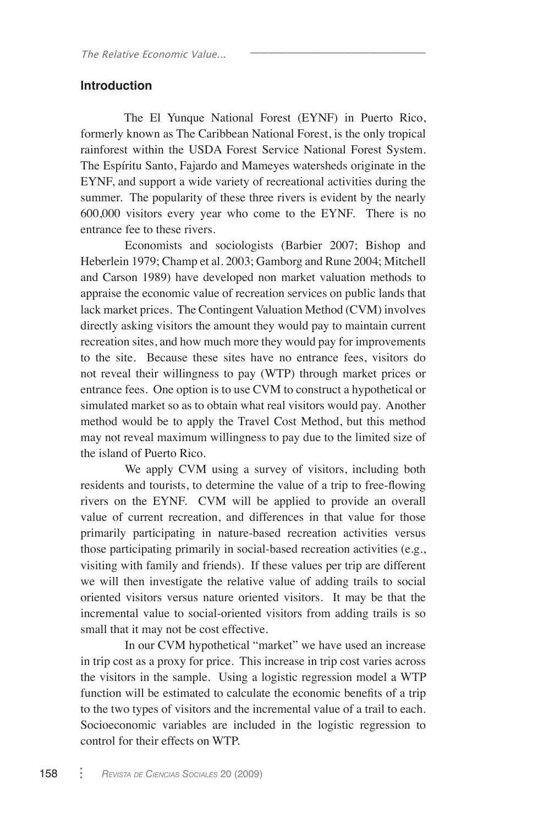## **Introduction**

The El Yunque National Forest (EYNF) in Puerto Rico, formerly known as The Caribbean National Forest, is the only tropical rainforest within the USDA Forest Service National Forest System. The Espíritu Santo, Fajardo and Mameyes watersheds originate in the EYNF, and support a wide variety of recreational activities during the summer. The popularity of these three rivers is evident by the nearly 600,000 visitors every year who come to the EYNF. There is no entrance fee to these rivers.

\_\_\_\_\_\_\_\_\_\_\_\_\_\_\_\_\_\_\_

Economists and sociologists (Barbier 2007; Bishop and Heberlein 1979; Champ et al. 2003; Gamborg and Rune 2004; Mitchell and Carson 1989) have developed non market valuation methods to appraise the economic value of recreation services on public lands that lack market prices. The Contingent Valuation Method (CVM) involves directly asking visitors the amount they would pay to maintain current recreation sites, and how much more they would pay for improvements to the site. Because these sites have no entrance fees, visitors do not reveal their willingness to pay (WTP) through market prices or entrance fees. One option is to use CVM to construct a hypothetical or simulated market so as to obtain what real visitors would pay. Another method would be to apply the Travel Cost Method, but this method may not reveal maximum willingness to pay due to the limited size of the island of Puerto Rico.

We apply CVM using a survey of visitors, including both residents and tourists, to determine the value of a trip to free-flowing rivers on the EYNF. CVM will be applied to provide an overall value of current recreation, and differences in that value for those primarily participating in nature-based recreation activities versus those participating primarily in social-based recreation activities (e.g., visiting with family and friends). If these values per trip are different we will then investigate the relative value of adding trails to social oriented visitors versus nature oriented visitors. It may be that the incremental value to social-oriented visitors from adding trails is so small that it may not be cost effective.

In our CVM hypothetical "market" we have used an increase in trip cost as a proxy for price. This increase in trip cost varies across the visitors in the sample. Using a logistic regression model a WTP function will be estimated to calculate the economic benefits of a trip to the two types of visitors and the incremental value of a trail to each. Socioeconomic variables are included in the logistic regression to control for their effects on WTP.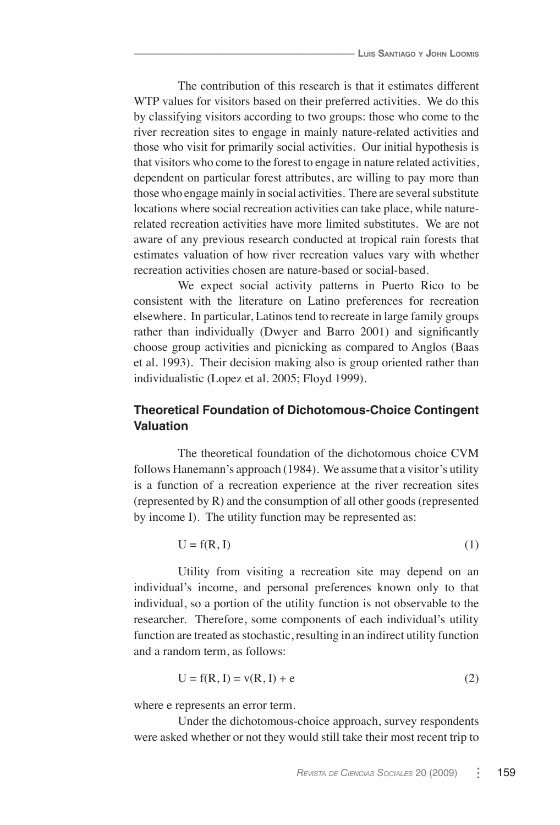The contribution of this research is that it estimates different WTP values for visitors based on their preferred activities. We do this by classifying visitors according to two groups: those who come to the river recreation sites to engage in mainly nature-related activities and those who visit for primarily social activities. Our initial hypothesis is that visitors who come to the forest to engage in nature related activities, dependent on particular forest attributes, are willing to pay more than those who engage mainly in social activities. There are several substitute locations where social recreation activities can take place, while naturerelated recreation activities have more limited substitutes. We are not aware of any previous research conducted at tropical rain forests that estimates valuation of how river recreation values vary with whether recreation activities chosen are nature-based or social-based.

We expect social activity patterns in Puerto Rico to be consistent with the literature on Latino preferences for recreation elsewhere. In particular, Latinos tend to recreate in large family groups rather than individually (Dwyer and Barro 2001) and significantly choose group activities and picnicking as compared to Anglos (Baas et al. 1993). Their decision making also is group oriented rather than individualistic (Lopez et al. 2005; Floyd 1999).

# **Theoretical Foundation of Dichotomous-Choice Contingent Valuation**

The theoretical foundation of the dichotomous choice CVM follows Hanemann's approach (1984). We assume that a visitor's utility is a function of a recreation experience at the river recreation sites (represented by R) and the consumption of all other goods (represented by income I). The utility function may be represented as:

$$
U = f(R, I) \tag{1}
$$

Utility from visiting a recreation site may depend on an individual's income, and personal preferences known only to that individual, so a portion of the utility function is not observable to the researcher. Therefore, some components of each individual's utility function are treated as stochastic, resulting in an indirect utility function and a random term, as follows:

$$
U = f(R, I) = v(R, I) + e
$$
 (2)

where e represents an error term.

Under the dichotomous-choice approach, survey respondents were asked whether or not they would still take their most recent trip to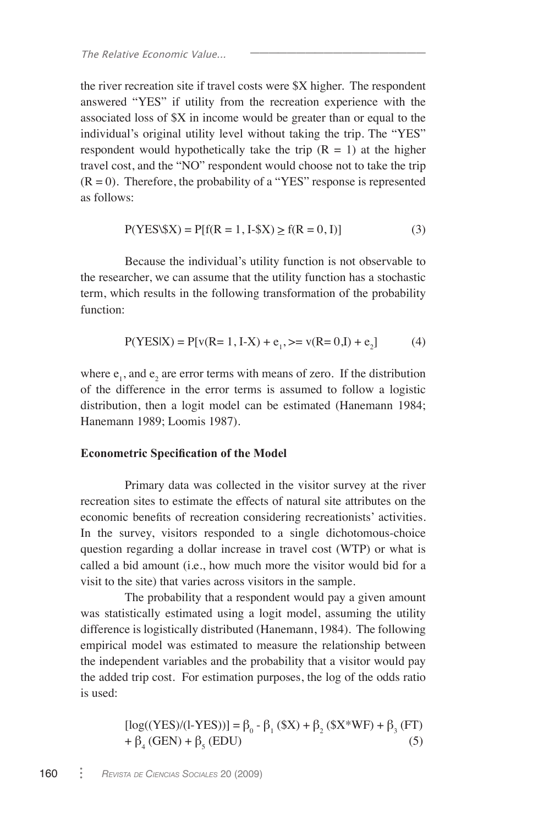the river recreation site if travel costs were \$X higher. The respondent answered "YES" if utility from the recreation experience with the associated loss of \$X in income would be greater than or equal to the individual's original utility level without taking the trip. The "YES" respondent would hypothetically take the trip  $(R = 1)$  at the higher travel cost, and the "NO" respondent would choose not to take the trip  $(R = 0)$ . Therefore, the probability of a "YES" response is represented as follows:

$$
P(YES \setminus \$X) = P[f(R = 1, I - \$X) \ge f(R = 0, I)]
$$
\n(3)

\_\_\_\_\_\_\_\_\_\_\_\_\_\_\_\_\_\_\_

Because the individual's utility function is not observable to the researcher, we can assume that the utility function has a stochastic term, which results in the following transformation of the probability function:

$$
P(YES|X) = P[v(R=1, I-X) + e_1, \gt = v(R=0, I) + e_2]
$$
 (4)

where  $e_1$ , and  $e_2$  are error terms with means of zero. If the distribution of the difference in the error terms is assumed to follow a logistic distribution, then a logit model can be estimated (Hanemann 1984; Hanemann 1989; Loomis 1987).

#### **Econometric Specification of the Model**

Primary data was collected in the visitor survey at the river recreation sites to estimate the effects of natural site attributes on the economic benefits of recreation considering recreationists' activities. In the survey, visitors responded to a single dichotomous-choice question regarding a dollar increase in travel cost (WTP) or what is called a bid amount (i.e., how much more the visitor would bid for a visit to the site) that varies across visitors in the sample.

The probability that a respondent would pay a given amount was statistically estimated using a logit model, assuming the utility difference is logistically distributed (Hanemann, 1984). The following empirical model was estimated to measure the relationship between the independent variables and the probability that a visitor would pay the added trip cost. For estimation purposes, the log of the odds ratio is used:

[log((YES)/(l-YES))] = β<sup>0</sup> - β<sup>1</sup> (\$X) + β<sup>2</sup> (\$X\*WF) + β<sup>3</sup> (FT) + β<sup>4</sup> (GEN) + β<sup>5</sup> (EDU) (5)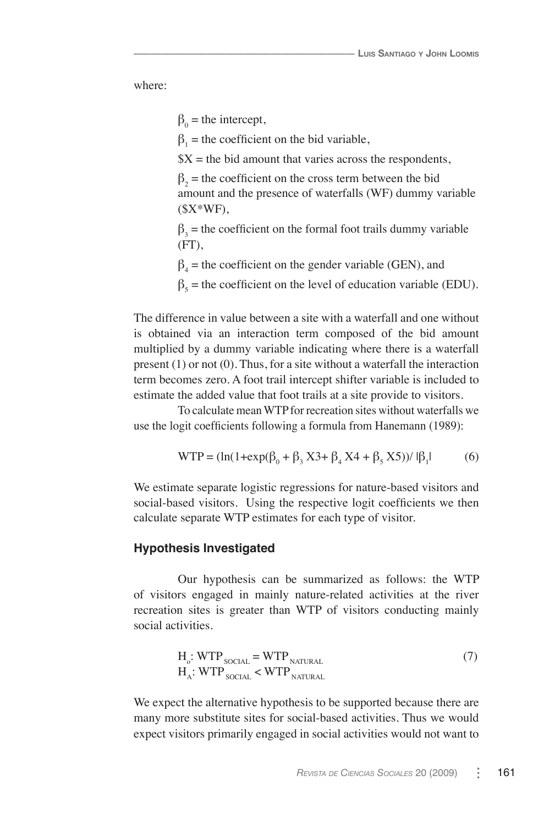where:

 $\beta_0$  = the intercept,

 $\overline{\phantom{a}}$  , where  $\overline{\phantom{a}}$ 

 $\beta_1$  = the coefficient on the bid variable,

 $X =$  the bid amount that varies across the respondents,

 $\beta_2$  = the coefficient on the cross term between the bid amount and the presence of waterfalls (WF) dummy variable  $(SX*WF)$ ,

 $\beta_3$  = the coefficient on the formal foot trails dummy variable  $(FT)$ .

 $\beta_4$  = the coefficient on the gender variable (GEN), and

 $\beta_5$  = the coefficient on the level of education variable (EDU).

The difference in value between a site with a waterfall and one without is obtained via an interaction term composed of the bid amount multiplied by a dummy variable indicating where there is a waterfall present (1) or not (0). Thus, for a site without a waterfall the interaction term becomes zero. A foot trail intercept shifter variable is included to estimate the added value that foot trails at a site provide to visitors.

To calculate mean WTP for recreation sites without waterfalls we use the logit coefficients following a formula from Hanemann (1989):

$$
WTP = (\ln(1 + \exp(\beta_0 + \beta_3 X3 + \beta_4 X4 + \beta_5 X5)) / |\beta_1|
$$
 (6)

We estimate separate logistic regressions for nature-based visitors and social-based visitors. Using the respective logit coefficients we then calculate separate WTP estimates for each type of visitor.

#### **Hypothesis Investigated**

Our hypothesis can be summarized as follows: the WTP of visitors engaged in mainly nature-related activities at the river recreation sites is greater than WTP of visitors conducting mainly social activities.

$$
H_o: WTP_{\text{SOCIAL}} = WTP_{\text{NATURAL}}
$$
  
\n
$$
H_A: WTP_{\text{SOCIAL}} < WTP_{\text{NATURAL}}
$$
\n(7)

We expect the alternative hypothesis to be supported because there are many more substitute sites for social-based activities. Thus we would expect visitors primarily engaged in social activities would not want to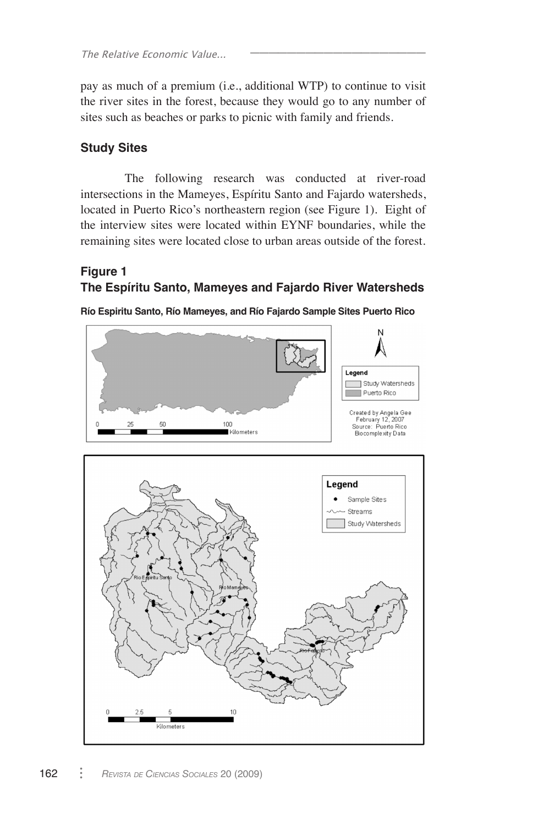pay as much of a premium (i.e., additional WTP) to continue to visit the river sites in the forest, because they would go to any number of sites such as beaches or parks to picnic with family and friends.

\_\_\_\_\_\_\_\_\_\_\_\_\_\_\_\_\_\_\_

# **Study Sites**

The following research was conducted at river-road intersections in the Mameyes, Espíritu Santo and Fajardo watersheds, located in Puerto Rico's northeastern region (see Figure 1). Eight of the interview sites were located within EYNF boundaries, while the remaining sites were located close to urban areas outside of the forest.

# **Figure 1 The Espíritu Santo, Mameyes and Fajardo River Watersheds**

**Río Espiritu Santo, Río Mameyes, and Río Fajardo Sample Sites Puerto Rico**

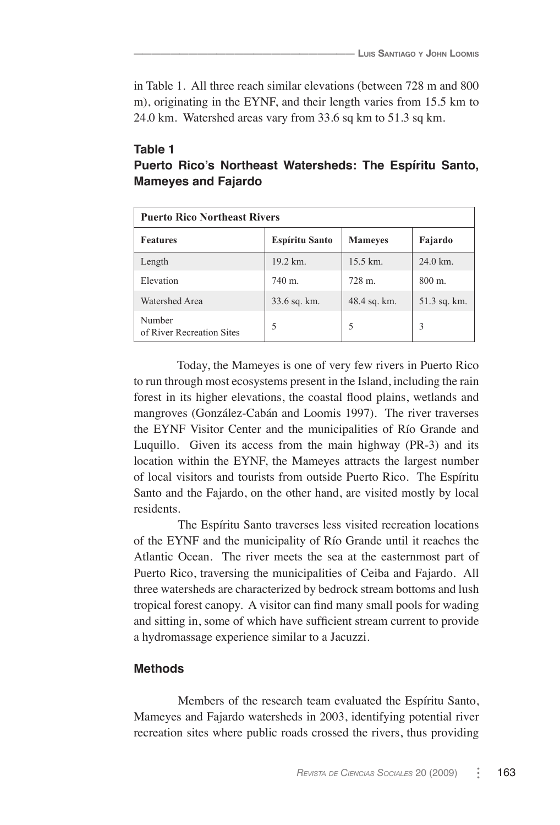in Table 1. All three reach similar elevations (between 728 m and 800 m), originating in the EYNF, and their length varies from 15.5 km to 24.0 km. Watershed areas vary from 33.6 sq km to 51.3 sq km.

 $\overline{\phantom{a}}$  , where  $\overline{\phantom{a}}$ 

| Table 1 |                            |                                                         |  |  |
|---------|----------------------------|---------------------------------------------------------|--|--|
|         |                            | Puerto Rico's Northeast Watersheds: The Espiritu Santo, |  |  |
|         | <b>Mameyes and Fajardo</b> |                                                         |  |  |

| <b>Puerto Rico Northeast Rivers</b> |                       |                   |              |  |  |
|-------------------------------------|-----------------------|-------------------|--------------|--|--|
| <b>Features</b>                     | <b>Espíritu Santo</b> | <b>Mameyes</b>    | Fajardo      |  |  |
| Length                              | 19.2 km.              | 15.5 km.          | 24.0 km.     |  |  |
| Elevation                           | $740 \; \text{m}$ .   | $728 \text{ m}$ . | 800 m.       |  |  |
| Watershed Area                      | 33.6 sq. km.          | 48.4 sq. km.      | 51.3 sq. km. |  |  |
| Number<br>of River Recreation Sites | 5                     | 5                 | 3            |  |  |

Today, the Mameyes is one of very few rivers in Puerto Rico to run through most ecosystems present in the Island, including the rain forest in its higher elevations, the coastal flood plains, wetlands and mangroves (González-Cabán and Loomis 1997). The river traverses the EYNF Visitor Center and the municipalities of Río Grande and Luquillo. Given its access from the main highway (PR-3) and its location within the EYNF, the Mameyes attracts the largest number of local visitors and tourists from outside Puerto Rico. The Espíritu Santo and the Fajardo, on the other hand, are visited mostly by local residents.

The Espíritu Santo traverses less visited recreation locations of the EYNF and the municipality of Río Grande until it reaches the Atlantic Ocean. The river meets the sea at the easternmost part of Puerto Rico, traversing the municipalities of Ceiba and Fajardo. All three watersheds are characterized by bedrock stream bottoms and lush tropical forest canopy. A visitor can find many small pools for wading and sitting in, some of which have sufficient stream current to provide a hydromassage experience similar to a Jacuzzi.

# **Methods**

Members of the research team evaluated the Espíritu Santo, Mameyes and Fajardo watersheds in 2003, identifying potential river recreation sites where public roads crossed the rivers, thus providing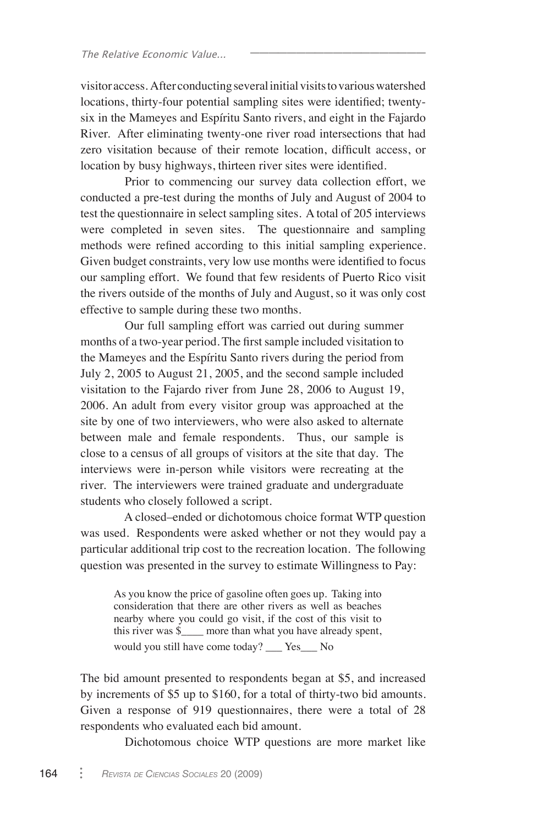visitor access. After conducting several initial visits to various watershed locations, thirty-four potential sampling sites were identified; twentysix in the Mameyes and Espíritu Santo rivers, and eight in the Fajardo River. After eliminating twenty-one river road intersections that had zero visitation because of their remote location, difficult access, or location by busy highways, thirteen river sites were identified.

\_\_\_\_\_\_\_\_\_\_\_\_\_\_\_\_\_\_\_

Prior to commencing our survey data collection effort, we conducted a pre-test during the months of July and August of 2004 to test the questionnaire in select sampling sites. A total of 205 interviews were completed in seven sites. The questionnaire and sampling methods were refined according to this initial sampling experience. Given budget constraints, very low use months were identified to focus our sampling effort. We found that few residents of Puerto Rico visit the rivers outside of the months of July and August, so it was only cost effective to sample during these two months.

Our full sampling effort was carried out during summer months of a two-year period. The first sample included visitation to the Mameyes and the Espíritu Santo rivers during the period from July 2, 2005 to August 21, 2005, and the second sample included visitation to the Fajardo river from June 28, 2006 to August 19, 2006. An adult from every visitor group was approached at the site by one of two interviewers, who were also asked to alternate between male and female respondents. Thus, our sample is close to a census of all groups of visitors at the site that day. The interviews were in-person while visitors were recreating at the river. The interviewers were trained graduate and undergraduate students who closely followed a script.

A closed–ended or dichotomous choice format WTP question was used. Respondents were asked whether or not they would pay a particular additional trip cost to the recreation location. The following question was presented in the survey to estimate Willingness to Pay:

As you know the price of gasoline often goes up. Taking into consideration that there are other rivers as well as beaches nearby where you could go visit, if the cost of this visit to this river was \$\_\_\_\_ more than what you have already spent, would you still have come today? \_\_\_ Yes\_\_\_ No

The bid amount presented to respondents began at \$5, and increased by increments of \$5 up to \$160, for a total of thirty-two bid amounts. Given a response of 919 questionnaires, there were a total of 28 respondents who evaluated each bid amount.

Dichotomous choice WTP questions are more market like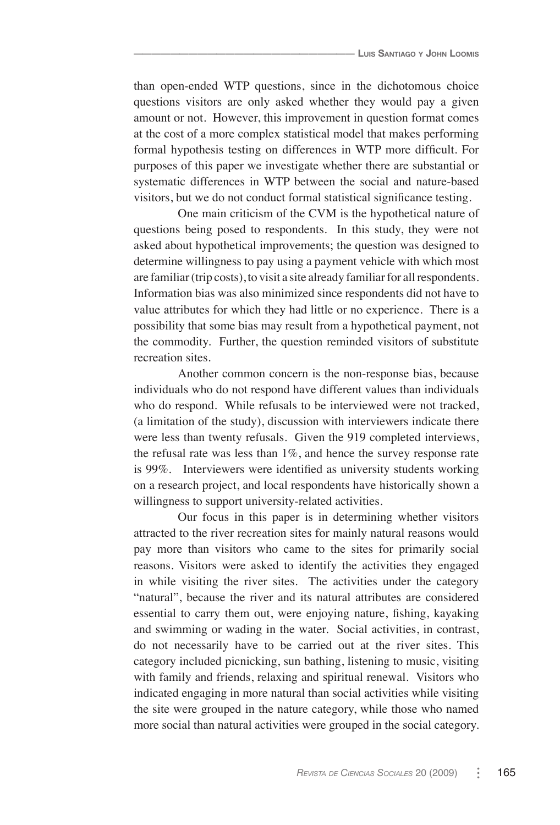than open-ended WTP questions, since in the dichotomous choice questions visitors are only asked whether they would pay a given amount or not. However, this improvement in question format comes at the cost of a more complex statistical model that makes performing formal hypothesis testing on differences in WTP more difficult. For purposes of this paper we investigate whether there are substantial or systematic differences in WTP between the social and nature-based visitors, but we do not conduct formal statistical significance testing.

One main criticism of the CVM is the hypothetical nature of questions being posed to respondents. In this study, they were not asked about hypothetical improvements; the question was designed to determine willingness to pay using a payment vehicle with which most are familiar (trip costs), to visit a site already familiar for all respondents. Information bias was also minimized since respondents did not have to value attributes for which they had little or no experience. There is a possibility that some bias may result from a hypothetical payment, not the commodity. Further, the question reminded visitors of substitute recreation sites.

Another common concern is the non-response bias, because individuals who do not respond have different values than individuals who do respond. While refusals to be interviewed were not tracked, (a limitation of the study), discussion with interviewers indicate there were less than twenty refusals. Given the 919 completed interviews, the refusal rate was less than 1%, and hence the survey response rate is 99%. Interviewers were identified as university students working on a research project, and local respondents have historically shown a willingness to support university-related activities.

Our focus in this paper is in determining whether visitors attracted to the river recreation sites for mainly natural reasons would pay more than visitors who came to the sites for primarily social reasons. Visitors were asked to identify the activities they engaged in while visiting the river sites. The activities under the category "natural", because the river and its natural attributes are considered essential to carry them out, were enjoying nature, fishing, kayaking and swimming or wading in the water. Social activities, in contrast, do not necessarily have to be carried out at the river sites. This category included picnicking, sun bathing, listening to music, visiting with family and friends, relaxing and spiritual renewal. Visitors who indicated engaging in more natural than social activities while visiting the site were grouped in the nature category, while those who named more social than natural activities were grouped in the social category.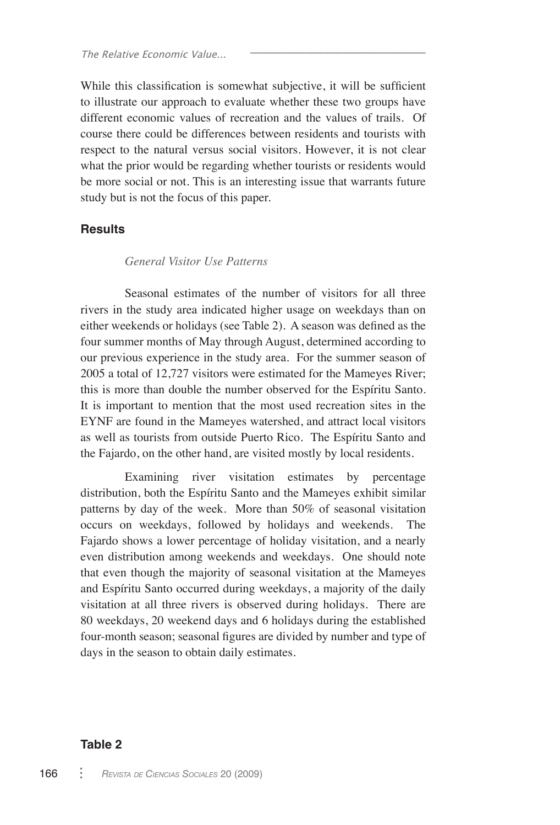While this classification is somewhat subjective, it will be sufficient to illustrate our approach to evaluate whether these two groups have different economic values of recreation and the values of trails. Of course there could be differences between residents and tourists with respect to the natural versus social visitors. However, it is not clear what the prior would be regarding whether tourists or residents would be more social or not. This is an interesting issue that warrants future study but is not the focus of this paper.

\_\_\_\_\_\_\_\_\_\_\_\_\_\_\_\_\_\_\_

#### **Results**

#### *General Visitor Use Patterns*

Seasonal estimates of the number of visitors for all three rivers in the study area indicated higher usage on weekdays than on either weekends or holidays (see Table 2). A season was defined as the four summer months of May through August, determined according to our previous experience in the study area. For the summer season of 2005 a total of 12,727 visitors were estimated for the Mameyes River; this is more than double the number observed for the Espíritu Santo. It is important to mention that the most used recreation sites in the EYNF are found in the Mameyes watershed, and attract local visitors as well as tourists from outside Puerto Rico. The Espíritu Santo and the Fajardo, on the other hand, are visited mostly by local residents.

Examining river visitation estimates by percentage distribution, both the Espíritu Santo and the Mameyes exhibit similar patterns by day of the week. More than 50% of seasonal visitation occurs on weekdays, followed by holidays and weekends. The Fajardo shows a lower percentage of holiday visitation, and a nearly even distribution among weekends and weekdays. One should note that even though the majority of seasonal visitation at the Mameyes and Espíritu Santo occurred during weekdays, a majority of the daily visitation at all three rivers is observed during holidays. There are 80 weekdays, 20 weekend days and 6 holidays during the established four-month season; seasonal figures are divided by number and type of days in the season to obtain daily estimates.

#### **Table 2**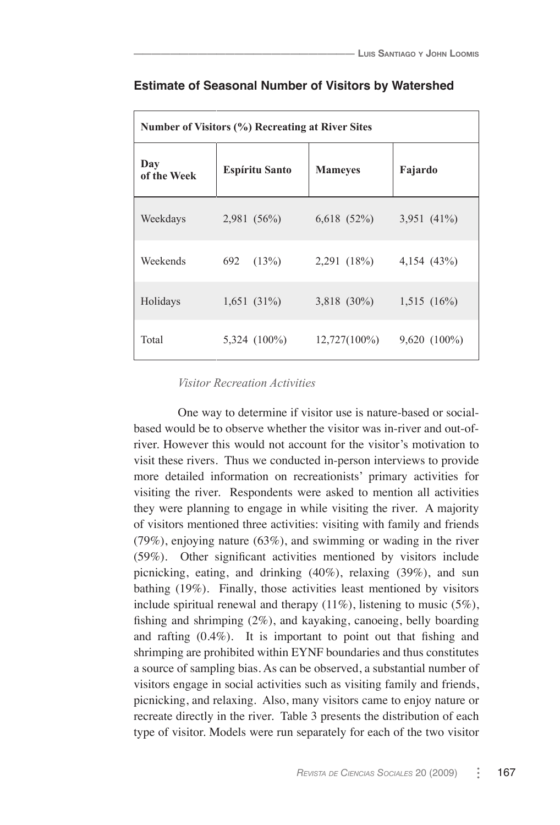| Number of Visitors (%) Recreating at River Sites |                       |                             |                   |  |  |
|--------------------------------------------------|-----------------------|-----------------------------|-------------------|--|--|
| Day<br>of the Week                               | <b>Espíritu Santo</b> | <b>Mameyes</b>              | Fajardo           |  |  |
| Weekdays                                         | 2,981(56%)            | $6,618$ $(52\%)$            | 3,951 $(41\%)$    |  |  |
| Weekends                                         | 692<br>(13%)          | 2,291 (18%)                 | 4,154(43%)        |  |  |
| Holidays                                         | $1,651(31\%)$         | $3,818$ (30%) $1,515$ (16%) |                   |  |  |
| Total                                            | 5,324 (100%)          | $12,727(100\%)$             | $9,620$ $(100\%)$ |  |  |

#### **Estimate of Seasonal Number of Visitors by Watershed**

 $\overline{\phantom{a}}$  , where  $\overline{\phantom{a}}$ 

#### *Visitor Recreation Activities*

One way to determine if visitor use is nature-based or socialbased would be to observe whether the visitor was in-river and out-ofriver. However this would not account for the visitor's motivation to visit these rivers. Thus we conducted in-person interviews to provide more detailed information on recreationists' primary activities for visiting the river. Respondents were asked to mention all activities they were planning to engage in while visiting the river. A majority of visitors mentioned three activities: visiting with family and friends (79%), enjoying nature (63%), and swimming or wading in the river (59%). Other significant activities mentioned by visitors include picnicking, eating, and drinking (40%), relaxing (39%), and sun bathing (19%). Finally, those activities least mentioned by visitors include spiritual renewal and therapy  $(11\%)$ , listening to music  $(5\%)$ , fishing and shrimping (2%), and kayaking, canoeing, belly boarding and rafting (0.4%). It is important to point out that fishing and shrimping are prohibited within EYNF boundaries and thus constitutes a source of sampling bias. As can be observed, a substantial number of visitors engage in social activities such as visiting family and friends, picnicking, and relaxing. Also, many visitors came to enjoy nature or recreate directly in the river. Table 3 presents the distribution of each type of visitor. Models were run separately for each of the two visitor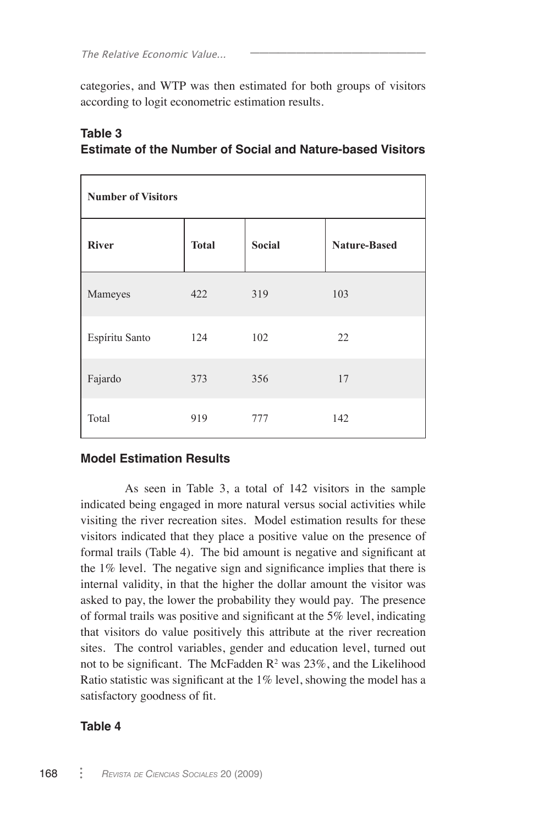categories, and WTP was then estimated for both groups of visitors according to logit econometric estimation results.

\_\_\_\_\_\_\_\_\_\_\_\_\_\_\_\_\_\_\_

| <b>Number of Visitors</b> |              |               |                     |  |  |
|---------------------------|--------------|---------------|---------------------|--|--|
| <b>River</b>              | <b>Total</b> | <b>Social</b> | <b>Nature-Based</b> |  |  |
| Mameyes                   | 422          | 319           | 103                 |  |  |
| Espíritu Santo            | 124          | 102           | 22                  |  |  |
| Fajardo                   | 373          | 356           | 17                  |  |  |
| Total                     | 919          | 777           | 142                 |  |  |

# **Table 3 Estimate of the Number of Social and Nature-based Visitors**

## **Model Estimation Results**

As seen in Table 3, a total of 142 visitors in the sample indicated being engaged in more natural versus social activities while visiting the river recreation sites. Model estimation results for these visitors indicated that they place a positive value on the presence of formal trails (Table 4). The bid amount is negative and significant at the 1% level. The negative sign and significance implies that there is internal validity, in that the higher the dollar amount the visitor was asked to pay, the lower the probability they would pay. The presence of formal trails was positive and significant at the 5% level, indicating that visitors do value positively this attribute at the river recreation sites. The control variables, gender and education level, turned out not to be significant. The McFadden  $\mathbb{R}^2$  was 23%, and the Likelihood Ratio statistic was significant at the 1% level, showing the model has a satisfactory goodness of fit.

## **Table 4**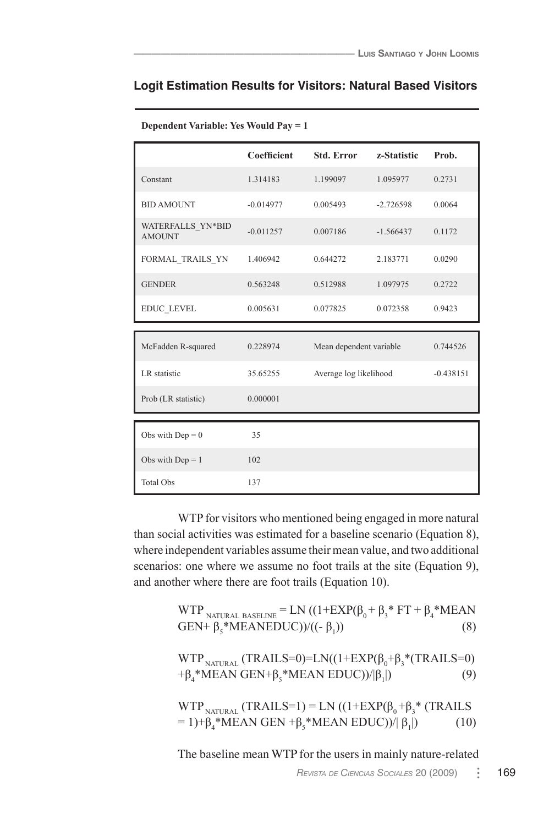|                                    | Coefficient | <b>Std. Error</b>       | z-Statistic | Prob.       |
|------------------------------------|-------------|-------------------------|-------------|-------------|
| Constant                           | 1.314183    | 1.199097                | 1.095977    | 0.2731      |
| <b>BID AMOUNT</b>                  | $-0.014977$ | 0.005493                | $-2.726598$ | 0.0064      |
| WATERFALLS YN*BID<br><b>AMOUNT</b> | $-0.011257$ | 0.007186                | $-1.566437$ | 0.1172      |
| FORMAL TRAILS YN                   | 1.406942    | 0.644272                | 2.183771    | 0.0290      |
| <b>GENDER</b>                      | 0.563248    | 0.512988                | 1.097975    | 0.2722      |
| EDUC LEVEL                         | 0.005631    | 0.077825                | 0.072358    | 0.9423      |
|                                    |             |                         |             |             |
| McFadden R-squared                 | 0.228974    | Mean dependent variable |             | 0.744526    |
| LR statistic                       | 35.65255    | Average log likelihood  |             | $-0.438151$ |
| Prob (LR statistic)                | 0.000001    |                         |             |             |
|                                    |             |                         |             |             |
| Obs with $Dep = 0$                 | 35          |                         |             |             |
| Obs with $Dep = 1$                 | 102         |                         |             |             |
|                                    |             |                         |             |             |

| Dependent Variable: Yes Would Pay = 1 |  |  |  |  |  |
|---------------------------------------|--|--|--|--|--|
|---------------------------------------|--|--|--|--|--|

WTP for visitors who mentioned being engaged in more natural than social activities was estimated for a baseline scenario (Equation 8), where independent variables assume their mean value, and two additional scenarios: one where we assume no foot trails at the site (Equation 9), and another where there are foot trails (Equation 10).

| WTP NATURAL BASELINE = LN $((1+EXP(\beta_0 + \beta_3 * FT + \beta_4 * MEAN$<br>GEN+ $\beta$ <sub>s</sub> *MEANEDUC))/((- $\beta$ <sub>1</sub> )) | (8) |
|--------------------------------------------------------------------------------------------------------------------------------------------------|-----|
| WTP <sub>NATURAL</sub> (TRAILS=0)=LN( $(1+EXP(\beta_0+\beta_3*(TRAILS=0))$<br>$+\beta_{4}^*MEAN GEN+\beta_{5}^*MEAN EDUC)/ \beta_{1} $           | (9) |
| WTP <sub>NATURAL</sub> (TRAILS=1) = LN ( $(1+EXP(\beta_0+\beta_3)^*$ (TRAILS                                                                     |     |

The baseline mean WTP for the users in mainly nature-related

 $= 1)+β<sub>4</sub> * MEAN GEN + β<sub>5</sub> * MEAN EDUC)$ /| β<sub>1</sub>

 $(10)$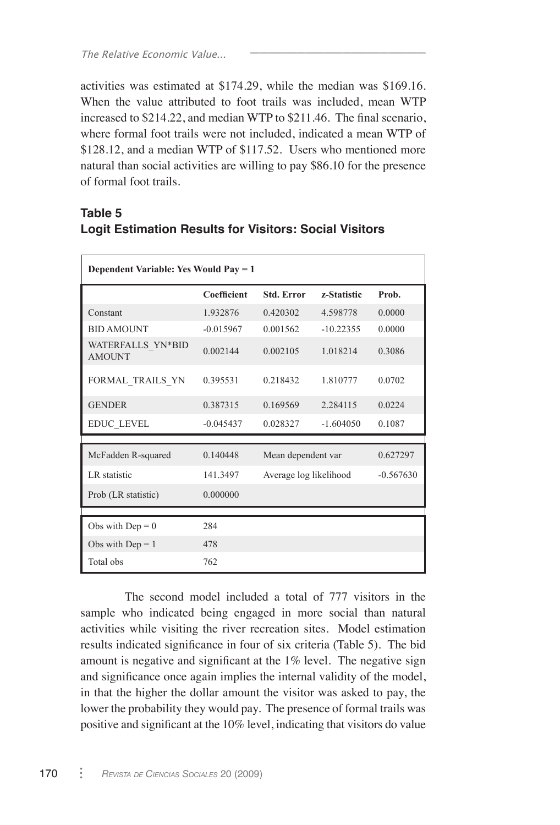activities was estimated at \$174.29, while the median was \$169.16. When the value attributed to foot trails was included, mean WTP increased to \$214.22, and median WTP to \$211.46. The final scenario, where formal foot trails were not included, indicated a mean WTP of \$128.12, and a median WTP of \$117.52. Users who mentioned more natural than social activities are willing to pay \$86.10 for the presence of formal foot trails.

\_\_\_\_\_\_\_\_\_\_\_\_\_\_\_\_\_\_\_

# **Table 5 Logit Estimation Results for Visitors: Social Visitors**

| Dependent Variable: Yes Would Pay = 1 |             |                        |             |             |  |  |
|---------------------------------------|-------------|------------------------|-------------|-------------|--|--|
|                                       | Coefficient | <b>Std. Error</b>      | z-Statistic | Prob.       |  |  |
| Constant                              | 1.932876    | 0.420302               | 4.598778    | 0.0000      |  |  |
| <b>BID AMOUNT</b>                     | $-0.015967$ | 0.001562               | $-10.22355$ | 0.0000      |  |  |
| WATERFALLS YN*BID<br><b>AMOUNT</b>    | 0.002144    | 0.002105               | 1.018214    | 0.3086      |  |  |
| FORMAL TRAILS YN                      | 0.395531    | 0.218432               | 1.810777    | 0.0702      |  |  |
| <b>GENDER</b>                         | 0.387315    | 0.169569               | 2.284115    | 0.0224      |  |  |
| <b>EDUC LEVEL</b>                     | $-0.045437$ | 0.028327               | $-1.604050$ | 0.1087      |  |  |
|                                       |             |                        |             |             |  |  |
| McFadden R-squared                    | 0.140448    | Mean dependent var     |             | 0.627297    |  |  |
| LR statistic                          | 141.3497    | Average log likelihood |             | $-0.567630$ |  |  |
| Prob (LR statistic)                   | 0.000000    |                        |             |             |  |  |
|                                       |             |                        |             |             |  |  |
| Obs with $Dep = 0$                    | 284         |                        |             |             |  |  |
| Obs with $Dep = 1$                    | 478         |                        |             |             |  |  |
| Total obs                             | 762         |                        |             |             |  |  |

The second model included a total of 777 visitors in the sample who indicated being engaged in more social than natural activities while visiting the river recreation sites. Model estimation results indicated significance in four of six criteria (Table 5). The bid amount is negative and significant at the 1% level. The negative sign and significance once again implies the internal validity of the model, in that the higher the dollar amount the visitor was asked to pay, the lower the probability they would pay. The presence of formal trails was positive and significant at the 10% level, indicating that visitors do value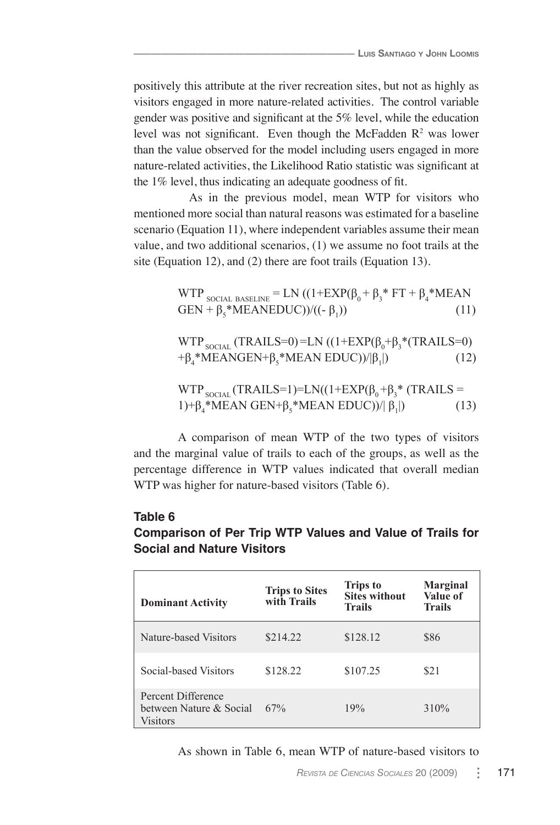positively this attribute at the river recreation sites, but not as highly as visitors engaged in more nature-related activities. The control variable gender was positive and significant at the 5% level, while the education level was not significant. Even though the McFadden  $\mathbb{R}^2$  was lower than the value observed for the model including users engaged in more nature-related activities, the Likelihood Ratio statistic was significant at the 1% level, thus indicating an adequate goodness of fit.

As in the previous model, mean WTP for visitors who mentioned more social than natural reasons was estimated for a baseline scenario (Equation 11), where independent variables assume their mean value, and two additional scenarios, (1) we assume no foot trails at the site (Equation 12), and (2) there are foot trails (Equation 13).

$$
WTP_{\text{SOCIAL BASELINE}} = LN ((1+EXP(\beta_0 + \beta_3 * FT + \beta_4 * MEANGEN + \beta_5 * MEANEDUC))/((-\beta_1))
$$
 (11)

WTP <sub>SOCIAL</sub> (TRAILS=0)=LN ((1+EXP(β<sub>0</sub>+β<sub>3</sub>\*(TRAILS=0) +β<sub>4</sub>\*MEANGEN+β<sub>5</sub>\*MEAN EDUC))/|β<sub>1</sub>  $(12)$ 

$$
WTP_{\text{SOLAL}}(\text{TRAILS=1})=LN((1+EXP(\beta_0+\beta_3)^*(\text{TRAILS}=1)+\beta_4^*\text{MEAN} \text{ GEN}+\beta_5^*\text{MEAN} \text{ EDUC}))/|\beta_1|)
$$
(13)

A comparison of mean WTP of the two types of visitors and the marginal value of trails to each of the groups, as well as the percentage difference in WTP values indicated that overall median WTP was higher for nature-based visitors (Table 6).

### **Table 6**

# **Comparison of Per Trip WTP Values and Value of Trails for Social and Nature Visitors**

| <b>Dominant Activity</b>                                         | <b>Trips to Sites</b><br>with Trails | <b>Trips to</b><br><b>Sites without</b><br><b>Trails</b> | <b>Marginal</b><br>Value of<br><b>Trails</b> |
|------------------------------------------------------------------|--------------------------------------|----------------------------------------------------------|----------------------------------------------|
| Nature-based Visitors                                            | \$214.22                             | \$128.12                                                 | \$86                                         |
| Social-based Visitors                                            | \$128.22                             | \$107.25                                                 | \$21                                         |
| Percent Difference<br>hetween Nature & Social<br><b>Visitors</b> | 67%                                  | 19%                                                      | 310%                                         |

As shown in Table 6, mean WTP of nature-based visitors to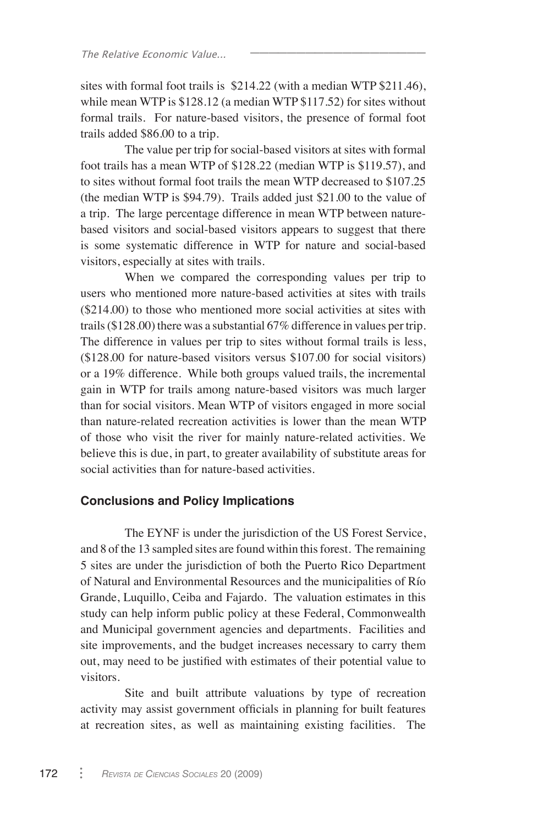sites with formal foot trails is \$214.22 (with a median WTP \$211.46), while mean WTP is \$128.12 (a median WTP \$117.52) for sites without formal trails. For nature-based visitors, the presence of formal foot trails added \$86.00 to a trip.

\_\_\_\_\_\_\_\_\_\_\_\_\_\_\_\_\_\_\_

The value per trip for social-based visitors at sites with formal foot trails has a mean WTP of \$128.22 (median WTP is \$119.57), and to sites without formal foot trails the mean WTP decreased to \$107.25 (the median WTP is \$94.79). Trails added just \$21.00 to the value of a trip. The large percentage difference in mean WTP between naturebased visitors and social-based visitors appears to suggest that there is some systematic difference in WTP for nature and social-based visitors, especially at sites with trails.

When we compared the corresponding values per trip to users who mentioned more nature-based activities at sites with trails (\$214.00) to those who mentioned more social activities at sites with trails (\$128.00) there was a substantial 67% difference in values per trip. The difference in values per trip to sites without formal trails is less, (\$128.00 for nature-based visitors versus \$107.00 for social visitors) or a 19% difference. While both groups valued trails, the incremental gain in WTP for trails among nature-based visitors was much larger than for social visitors. Mean WTP of visitors engaged in more social than nature-related recreation activities is lower than the mean WTP of those who visit the river for mainly nature-related activities. We believe this is due, in part, to greater availability of substitute areas for social activities than for nature-based activities.

#### **Conclusions and Policy Implications**

The EYNF is under the jurisdiction of the US Forest Service, and 8 of the 13 sampled sites are found within this forest. The remaining 5 sites are under the jurisdiction of both the Puerto Rico Department of Natural and Environmental Resources and the municipalities of Río Grande, Luquillo, Ceiba and Fajardo. The valuation estimates in this study can help inform public policy at these Federal, Commonwealth and Municipal government agencies and departments. Facilities and site improvements, and the budget increases necessary to carry them out, may need to be justified with estimates of their potential value to visitors.

Site and built attribute valuations by type of recreation activity may assist government officials in planning for built features at recreation sites, as well as maintaining existing facilities. The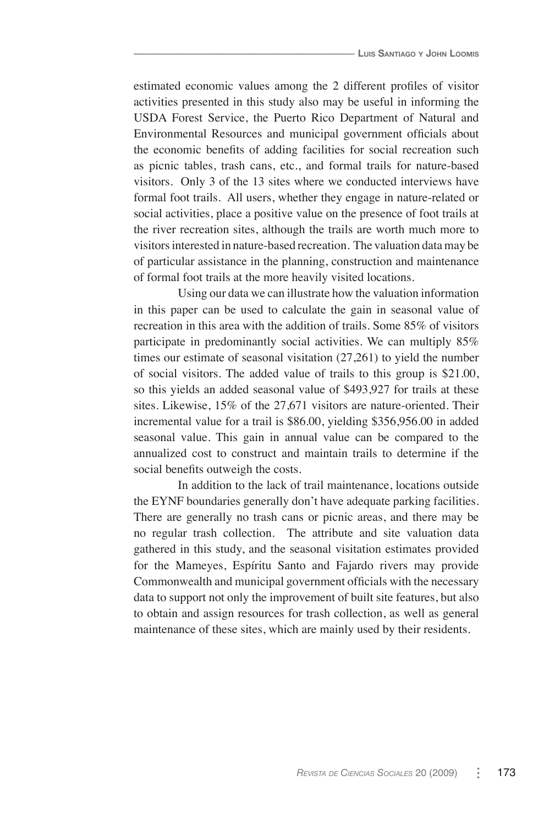estimated economic values among the 2 different profiles of visitor activities presented in this study also may be useful in informing the USDA Forest Service, the Puerto Rico Department of Natural and Environmental Resources and municipal government officials about the economic benefits of adding facilities for social recreation such as picnic tables, trash cans, etc., and formal trails for nature-based visitors. Only 3 of the 13 sites where we conducted interviews have formal foot trails. All users, whether they engage in nature-related or social activities, place a positive value on the presence of foot trails at the river recreation sites, although the trails are worth much more to visitors interested in nature-based recreation. The valuation data may be of particular assistance in the planning, construction and maintenance of formal foot trails at the more heavily visited locations.

Using our data we can illustrate how the valuation information in this paper can be used to calculate the gain in seasonal value of recreation in this area with the addition of trails. Some 85% of visitors participate in predominantly social activities. We can multiply 85% times our estimate of seasonal visitation (27,261) to yield the number of social visitors. The added value of trails to this group is \$21.00, so this yields an added seasonal value of \$493,927 for trails at these sites. Likewise, 15% of the 27,671 visitors are nature-oriented. Their incremental value for a trail is \$86.00, yielding \$356,956.00 in added seasonal value. This gain in annual value can be compared to the annualized cost to construct and maintain trails to determine if the social benefits outweigh the costs.

In addition to the lack of trail maintenance, locations outside the EYNF boundaries generally don't have adequate parking facilities. There are generally no trash cans or picnic areas, and there may be no regular trash collection. The attribute and site valuation data gathered in this study, and the seasonal visitation estimates provided for the Mameyes, Espíritu Santo and Fajardo rivers may provide Commonwealth and municipal government officials with the necessary data to support not only the improvement of built site features, but also to obtain and assign resources for trash collection, as well as general maintenance of these sites, which are mainly used by their residents.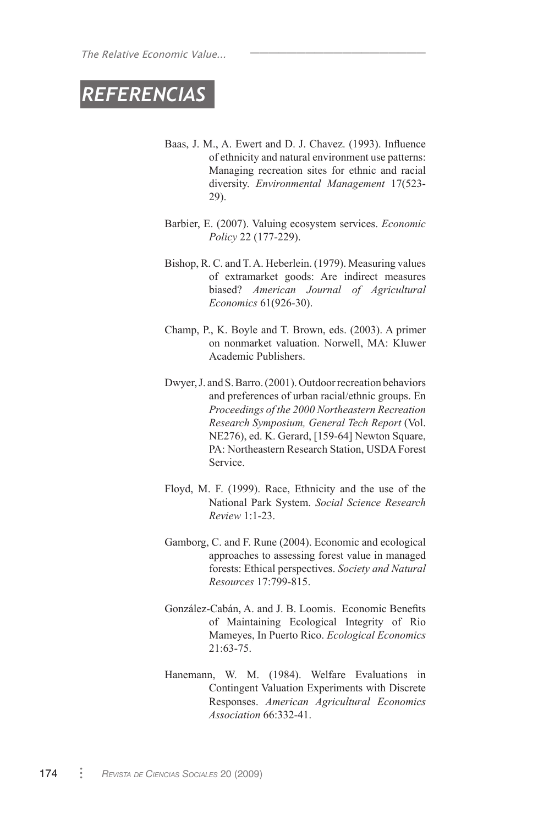# *REFERENCIAS*

Baas, J. M., A. Ewert and D. J. Chavez. (1993). Influence of ethnicity and natural environment use patterns: Managing recreation sites for ethnic and racial diversity. *Environmental Management* 17(523- 29).

\_\_\_\_\_\_\_\_\_\_\_\_\_\_\_\_\_\_\_

- Barbier, E. (2007). Valuing ecosystem services. *Economic Policy* 22 (177-229).
- Bishop, R. C. and T. A. Heberlein. (1979). Measuring values of extramarket goods: Are indirect measures biased? *American Journal of Agricultural Economics* 61(926-30).
- Champ, P., K. Boyle and T. Brown, eds. (2003). A primer on nonmarket valuation. Norwell, MA: Kluwer Academic Publishers.
- Dwyer, J. and S. Barro. (2001). Outdoor recreation behaviors and preferences of urban racial/ethnic groups. En *Proceedings of the 2000 Northeastern Recreation Research Symposium, General Tech Report* (Vol. NE276), ed. K. Gerard, [159-64] Newton Square, PA: Northeastern Research Station, USDA Forest Service.
- Floyd, M. F. (1999). Race, Ethnicity and the use of the National Park System. *Social Science Research Review* 1:1-23.
- Gamborg, C. and F. Rune (2004). Economic and ecological approaches to assessing forest value in managed forests: Ethical perspectives. *Society and Natural Resources* 17:799-815.
- González-Cabán, A. and J. B. Loomis. Economic Benefits of Maintaining Ecological Integrity of Rio Mameyes, In Puerto Rico. *Ecological Economics* 21:63-75.
- Hanemann, W. M. (1984). Welfare Evaluations in Contingent Valuation Experiments with Discrete Responses. *American Agricultural Economics Association* 66:332-41.